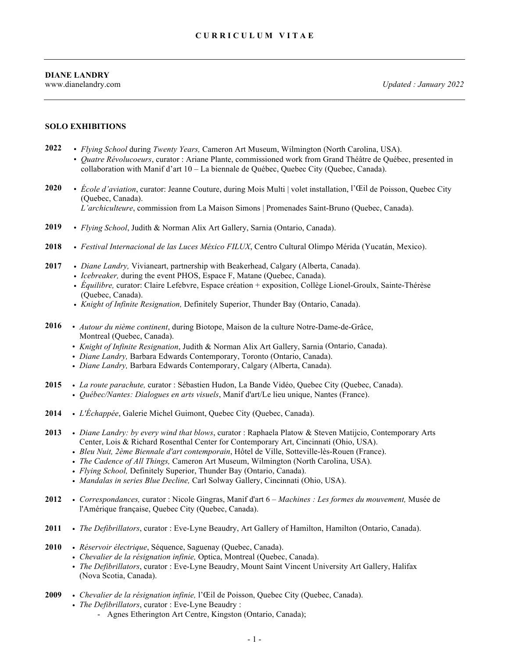www.dianelandry.com *Updated : January 2022*

#### **SOLO EXHIBITIONS**

- **2022** *• Flying School* during *Twenty Years,* Cameron Art Museum, Wilmington (North Carolina, USA). *• Quatre Révolucoeurs*, curator : Ariane Plante, commissioned work from Grand Théâtre de Québec, presented in collaboration with Manif d'art 10 – La biennale de Québec, Quebec City (Quebec, Canada).
- **2020** *• École d'aviation*, curator: Jeanne Couture, during Mois Multi | volet installation, l'Œil de Poisson, Quebec City (Quebec, Canada). *L'archiculteure*, commission from La Maison Simons | Promenades Saint-Bruno (Quebec, Canada).
- **2019** *• Flying School*, Judith & Norman Alix Art Gallery, Sarnia (Ontario, Canada).
- **2018** *• Festival Internacional de las Luces México FILUX*, Centro Cultural Olimpo Mérida (Yucatán, Mexico).
- **2017** *• Diane Landry,* Vivianeart, partnership with Beakerhead, Calgary (Alberta, Canada).
	- *• Icebreaker,* during the event PHOS, Espace F, Matane (Quebec, Canada).
	- *• Équilibre,* curator: Claire Lefebvre, Espace création + exposition, Collège Lionel-Groulx, Sainte-Thérèse (Quebec, Canada).
	- *• Knight of Infinite Resignation,* Definitely Superior, Thunder Bay (Ontario, Canada).
- **2016** *• Autour du nième continent*, during Biotope, Maison de la culture Notre-Dame-de-Grâce, Montreal (Quebec, Canada).
	- *• Knight of Infinite Resignation*, Judith & Norman Alix Art Gallery, Sarnia (Ontario, Canada).
	- *• Diane Landry,* Barbara Edwards Contemporary, Toronto (Ontario, Canada).
	- *• Diane Landry,* Barbara Edwards Contemporary, Calgary (Alberta, Canada).
- **2015** *• La route parachute,* curator : Sébastien Hudon, La Bande Vidéo, Quebec City (Quebec, Canada). *• Québec/Nantes: Dialogues en arts visuels*, Manif d'art/Le lieu unique, Nantes (France).
- **2014** *• L'Échappée*, Galerie Michel Guimont, Quebec City (Quebec, Canada).
- **2013** *• Diane Landry: by every wind that blows*, curator : Raphaela Platow & Steven Matijcio, Contemporary Arts Center, Lois & Richard Rosenthal Center for Contemporary Art, Cincinnati (Ohio, USA).
	- *• Bleu Nuit, 2ème Biennale d'art contemporain*, Hôtel de Ville, Sotteville-lès-Rouen (France).
	- *• The Cadence of All Things,* Cameron Art Museum, Wilmington (North Carolina, USA).
	- *• Flying School,* Definitely Superior, Thunder Bay (Ontario, Canada).
	- *• Mandalas in series Blue Decline,* Carl Solway Gallery, Cincinnati (Ohio, USA).
- **2012** *• Correspondances,* curator : Nicole Gingras, Manif d'art 6 *Machines : Les formes du mouvement,* Musée de l'Amérique française, Quebec City (Quebec, Canada).
- **2011** *• The Defibrillators*, curator : Eve-Lyne Beaudry, Art Gallery of Hamilton, Hamilton (Ontario, Canada).
- **2010** *• Réservoir électrique*, Séquence, Saguenay (Quebec, Canada).
	- *• Chevalier de la résignation infinie,* Optica, Montreal (Quebec, Canada).
	- *• The Defibrillators*, curator : Eve-Lyne Beaudry, Mount Saint Vincent University Art Gallery, Halifax (Nova Scotia, Canada).
- **2009** *• Chevalier de la résignation infinie,* l'Œil de Poisson, Quebec City (Quebec, Canada).
	- *• The Defibrillators*, curator : Eve-Lyne Beaudry :
		- Agnes Etherington Art Centre, Kingston (Ontario, Canada);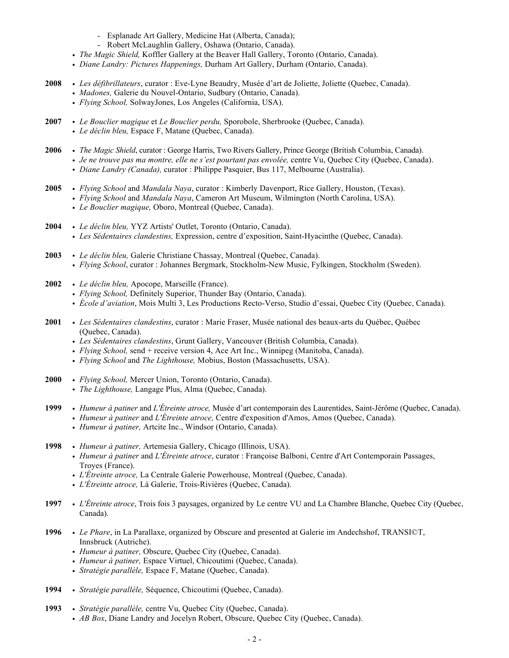- Esplanade Art Gallery, Medicine Hat (Alberta, Canada);
- Robert McLaughlin Gallery, Oshawa (Ontario, Canada).
- *• The Magic Shield,* Koffler Gallery at the Beaver Hall Gallery, Toronto (Ontario, Canada).
- *• Diane Landry: Pictures Happenings,* Durham Art Gallery, Durham (Ontario, Canada).
- **2008** *• Les défibrillateurs*, curator : Eve-Lyne Beaudry, Musée d'art de Joliette, Joliette (Quebec, Canada).
	- *• Madones,* Galerie du Nouvel-Ontario, Sudbury (Ontario, Canada).
	- *• Flying School,* SolwayJones, Los Angeles (California, USA).
- **2007** *• Le Bouclier magique* et *Le Bouclier perdu,* Sporobole, Sherbrooke (Quebec, Canada).
	- *• Le déclin bleu,* Espace F, Matane (Quebec, Canada).
- **2006** *• The Magic Shield*, curator : George Harris, Two Rivers Gallery, Prince George (British Columbia, Canada).
	- *• Je ne trouve pas ma montre, elle ne s'est pourtant pas envolée,* centre Vu, Quebec City (Quebec, Canada).
		- *• Diane Landry (Canada),* curator : Philippe Pasquier, Bus 117, Melbourne (Australia).
- **2005** *• Flying School* and *Mandala Naya*, curator : Kimberly Davenport, Rice Gallery, Houston, (Texas).
	- *• Flying School* and *Mandala Naya*, Cameron Art Museum, Wilmington (North Carolina, USA).
		- *• Le Bouclier magique,* Oboro, Montreal (Quebec, Canada).
- **2004** *• Le déclin bleu,* YYZ Artists' Outlet, Toronto (Ontario, Canada). *• Les Sédentaires clandestins,* Expression, centre d'exposition, Saint-Hyacinthe (Quebec, Canada).
- **2003** *• Le déclin bleu,* Galerie Christiane Chassay, Montreal (Quebec, Canada). *• Flying School*, curator : Johannes Bergmark, Stockholm-New Music, Fylkingen, Stockholm (Sweden).
- **2002** *• Le déclin bleu,* Apocope, Marseille (France).
	- *• Flying School,* Definitely Superior, Thunder Bay (Ontario, Canada).
	- *• École d'aviation*, Mois Multi 3, Les Productions Recto-Verso, Studio d'essai, Quebec City (Quebec, Canada).
- **2001** *• Les Sédentaires clandestins*, curator : Marie Fraser, Musée national des beaux-arts du Québec, Québec (Quebec, Canada).
	- *• Les Sédentaires clandestins*, Grunt Gallery, Vancouver (British Columbia, Canada).
	- *• Flying School,* send + receive version 4, Ace Art Inc., Winnipeg (Manitoba, Canada).
	- *• Flying School* and *The Lighthouse,* Mobius, Boston (Massachusetts, USA).
- **2000** *• Flying School,* Mercer Union, Toronto (Ontario, Canada).
	- *• The Lighthouse,* Langage Plus, Alma (Quebec, Canada).
- **1999** *• Humeur à patiner* and *L'Étreinte atroce,* Musée d'art contemporain des Laurentides, Saint-Jérôme (Quebec, Canada).
	- *• Humeur à patiner* and *L'Étreinte atroce,* Centre d'exposition d'Amos, Amos (Quebec, Canada).
	- *• Humeur à patiner,* Artcite Inc., Windsor (Ontario, Canada).
- **1998** *• Humeur à patiner,* Artemesia Gallery, Chicago (Illinois, USA).
	- *• Humeur à patiner* and *L'Étreinte atroce*, curator : Françoise Balboni, Centre d'Art Contemporain Passages, Troyes (France).
	- *• L'Étreinte atroce,* La Centrale Galerie Powerhouse, Montreal (Quebec, Canada).
	- *• L'Étreinte atroce,* Là Galerie, Trois-Rivières (Quebec, Canada).
- **1997** *• L'Étreinte atroce*, Trois fois 3 paysages, organized by Le centre VU and La Chambre Blanche, Quebec City (Quebec, Canada).
- **1996** *• Le Phare*, in La Parallaxe, organized by Obscure and presented at Galerie im Andechshof, TRANSI©T, Innsbruck (Autriche).
	- *• Humeur à patiner,* Obscure, Quebec City (Quebec, Canada).
	- *• Humeur à patiner,* Espace Virtuel, Chicoutimi (Quebec, Canada).
	- *• Stratégie parallèle,* Espace F, Matane (Quebec, Canada).
- **1994** *• Stratégie parallèle,* Séquence, Chicoutimi (Quebec, Canada).
- **1993** *• Stratégie parallèle,* centre Vu, Quebec City (Quebec, Canada).
	- *• AB Box*, Diane Landry and Jocelyn Robert, Obscure, Quebec City (Quebec, Canada).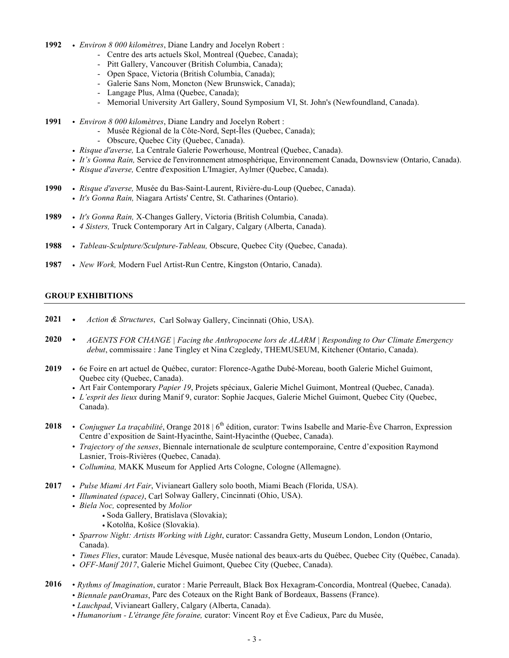- **1992** *• Environ 8 000 kilomètres*, Diane Landry and Jocelyn Robert :
	- Centre des arts actuels Skol, Montreal (Quebec, Canada);
	- Pitt Gallery, Vancouver (British Columbia, Canada);
	- Open Space, Victoria (British Columbia, Canada);
	- Galerie Sans Nom, Moncton (New Brunswick, Canada);
	- Langage Plus, Alma (Quebec, Canada);
	- Memorial University Art Gallery, Sound Symposium VI, St. John's (Newfoundland, Canada).
- **1991** *• Environ 8 000 kilomètres*, Diane Landry and Jocelyn Robert :
	- Musée Régional de la Côte-Nord, Sept-Îles (Quebec, Canada);
	- Obscure, Quebec City (Quebec, Canada).
	- *• Risque d'averse,* La Centrale Galerie Powerhouse, Montreal (Quebec, Canada).
	- *• It's Gonna Rain,* Service de l'environnement atmosphérique, Environnement Canada, Downsview (Ontario, Canada).
		- *• Risque d'averse,* Centre d'exposition L'Imagier, Aylmer (Quebec, Canada).
- **1990** *• Risque d'averse,* Musée du Bas-Saint-Laurent, Rivière-du-Loup (Quebec, Canada).
	- *• It's Gonna Rain,* Niagara Artists' Centre, St. Catharines (Ontario).
- **1989** *• It's Gonna Rain,* X-Changes Gallery, Victoria (British Columbia, Canada).
	- *• 4 Sisters,* Truck Contemporary Art in Calgary, Calgary (Alberta, Canada).
- **1988** *• Tableau-Sculpture/Sculpture-Tableau,* Obscure, Quebec City (Quebec, Canada).
- **1987** *• New Work,* Modern Fuel Artist-Run Centre, Kingston (Ontario, Canada).

### **GROUP EXHIBITIONS**

- **2021** *Action & Structures*, Carl Solway Gallery, Cincinnati (Ohio, USA).
- **2020** *AGENTS FOR CHANGE | Facing the Anthropocene lors de ALARM | Responding to Our Climate Emergency debut*, commissaire : Jane Tingley et Nina Czegledy, THEMUSEUM, Kitchener (Ontario, Canada).
- **2019** *•* 6e Foire en art actuel de Québec, curator: Florence-Agathe Dubé-Moreau, booth Galerie Michel Guimont, Quebec city (Quebec, Canada).
	- *•* Art Fair Contemporary *Papier 19*, Projets spéciaux, Galerie Michel Guimont, Montreal (Quebec, Canada).
	- *• L'esprit des lieux* during Manif 9, curator: Sophie Jacques, Galerie Michel Guimont, Quebec City (Quebec, Canada).
- 2018 *Conjuguer La traçabilité*, Orange 2018 | 6<sup>th</sup> édition, curator: Twins Isabelle and Marie-Ève Charron, Expression Centre d'exposition de Saint-Hyacinthe, Saint-Hyacinthe (Quebec, Canada).
	- *• Trajectory of the senses*, Biennale internationale de sculpture contemporaine, Centre d'exposition Raymond Lasnier, Trois-Rivières (Quebec, Canada).
	- *• Collumina,* MAKK Museum for Applied Arts Cologne, Cologne (Allemagne).
- **2017** *• Pulse Miami Art Fair*, Vivianeart Gallery solo booth, Miami Beach (Florida, USA).
	- *• Illuminated (space)*, Carl Solway Gallery, Cincinnati (Ohio, USA).
	- *• Biela Noc,* copresented by *Molior*
		- *•* Soda Gallery, Bratislava (Slovakia);
		- *•* Kotolňa, Košice (Slovakia).
	- *• Sparrow Night: Artists Working with Light*, curator: Cassandra Getty, Museum London, London (Ontario, Canada).
	- *• Times Flies*, curator: Maude Lévesque, Musée national des beaux-arts du Québec, Quebec City (Québec, Canada).
	- *• OFF-Manif 2017*, Galerie Michel Guimont, Quebec City (Quebec, Canada).
- **2016** *• Rythms of Imagination*, curator : Marie Perreault, Black Box Hexagram-Concordia, Montreal (Quebec, Canada).
	- *• Biennale panOramas*, Parc des Coteaux on the Right Bank of Bordeaux, Bassens (France).
	- *• Lauchpad*, Vivianeart Gallery, Calgary (Alberta, Canada).
	- *• Humanorium - L'étrange fête foraine,* curator: Vincent Roy et Ève Cadieux, Parc du Musée,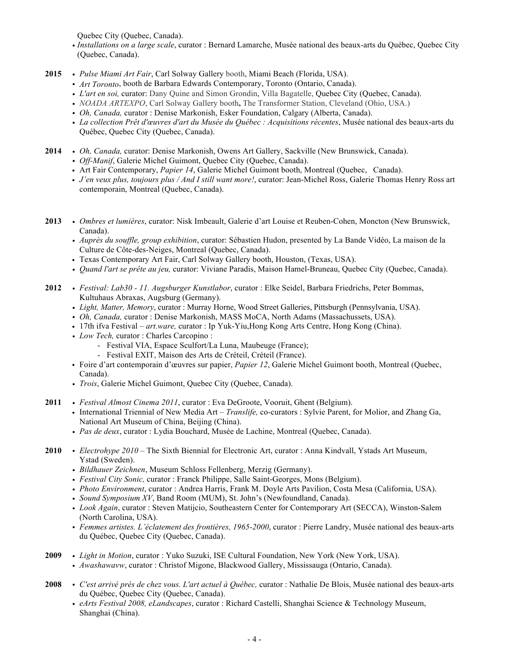Quebec City (Quebec, Canada).

- *• Installations on a large scale*, curator : Bernard Lamarche, Musée national des beaux-arts du Québec, Quebec City (Quebec, Canada).
- **2015** *• Pulse Miami Art Fair*, Carl Solway Gallery booth, Miami Beach (Florida, USA).
	- *• Art Toronto*, booth de Barbara Edwards Contemporary, Toronto (Ontario, Canada).
	- *• L'art en soi,* curator: Dany Quine and Simon Grondin, Villa Bagatelle, Quebec City (Quebec, Canada).
	- *• NOADA ARTEXPO*, Carl Solway Gallery booth**,** The Transformer Station, Cleveland (Ohio, USA.)
	- *• Oh, Canada,* curator : Denise Markonish, Esker Foundation, Calgary (Alberta, Canada).
	- *• La collection Prêt d'œuvres d'art du Musée du Québec : Acquisitions récentes*, Musée national des beaux-arts du Québec, Quebec City (Quebec, Canada).
- **2014** *• Oh, Canada,* curator: Denise Markonish, Owens Art Gallery, Sackville (New Brunswick, Canada).
	- *• Off-Manif*, Galerie Michel Guimont, Quebec City (Quebec, Canada).
	- Art Fair Contemporary, *Papier 14*, Galerie Michel Guimont booth, Montreal (Quebec,Canada).
	- *J'en veux plus, toujours plus / And I still want more!*, curator: Jean-Michel Ross, Galerie Thomas Henry Ross art contemporain, Montreal (Quebec, Canada).
- **2013** *• Ombres et lumières*, curator: Nisk Imbeault, Galerie d'art Louise et Reuben-Cohen, Moncton (New Brunswick, Canada).
	- *• Auprès du souffle, group exhibition*, curator: Sébastien Hudon, presented by La Bande Vidéo, La maison de la Culture de Côte-des-Neiges, Montreal (Quebec, Canada).
	- Texas Contemporary Art Fair, Carl Solway Gallery booth, Houston, (Texas, USA).
	- *• Quand l'art se prête au jeu,* curator: Viviane Paradis, Maison Hamel-Bruneau, Quebec City (Quebec, Canada).
- **2012** *• Festival: Lab30 - 11. Augsburger Kunstlabor*, curator : Elke Seidel, Barbara Friedrichs, Peter Bommas, Kultuhaus Abraxas, Augsburg (Germany).
	- *• Light, Matter, Memory*, curator : Murray Horne, Wood Street Galleries, Pittsburgh (Pennsylvania, USA).
	- *• Oh, Canada,* curator : Denise Markonish, MASS MoCA, North Adams (Massachussets, USA).
	- 17th ifva Festival *– art.ware,* curator : Ip Yuk-Yiu,Hong Kong Arts Centre, Hong Kong (China).
	- *• Low Tech,* curator : Charles Carcopino :
		- Festival VIA, Espace Sculfort/La Luna, Maubeuge (France);
		- Festival EXIT, Maison des Arts de Créteil, Créteil (France).
	- Foire d'art contemporain d'œuvres sur papier, *Papier 12*, Galerie Michel Guimont booth, Montreal (Quebec, Canada).
	- *• Trois*, Galerie Michel Guimont, Quebec City (Quebec, Canada).
- **2011** *• Festival Almost Cinema 2011*, curator : Eva DeGroote, Vooruit, Ghent (Belgium).
	- International Triennial of New Media Art *Translife,* co-curators : Sylvie Parent, for Molior, and Zhang Ga, National Art Museum of China, Beijing (China).
	- *• Pas de deux*, curator : Lydia Bouchard, Musée de Lachine, Montreal (Quebec, Canada).
- **2010** *• Electrohype 2010* The Sixth Biennial for Electronic Art, curator : Anna Kindvall, Ystads Art Museum, Ystad (Sweden).
	- *• Bildhauer Zeichnen*, Museum Schloss Fellenberg, Merzig (Germany).
	- *• Festival City Sonic,* curator : Franck Philippe, Salle Saint-Georges, Mons (Belgium).
	- *• Photo Environment*, curator : Andrea Harris, Frank M. Doyle Arts Pavilion, Costa Mesa (California, USA).
	- *• Sound Symposium XV*, Band Room (MUM), St. John's (Newfoundland, Canada).
	- *• Look Again*, curator : Steven Matijcio, Southeastern Center for Contemporary Art (SECCA), Winston-Salem (North Carolina, USA).
	- *• Femmes artistes. L'éclatement des frontières, 1965-2000*, curator : Pierre Landry, Musée national des beaux-arts du Québec, Quebec City (Quebec, Canada).
- **2009** *• Light in Motion*, curator : Yuko Suzuki, ISE Cultural Foundation, New York (New York, USA).
	- *• Awashawavw*, curator : Christof Migone, Blackwood Gallery, Mississauga (Ontario, Canada).
- **2008** *• C'est arrivé près de chez vous. L'art actuel à Québec,* curator : Nathalie De Blois, Musée national des beaux-arts du Québec, Quebec City (Quebec, Canada).
	- *• eArts Festival 2008, eLandscapes*, curator : Richard Castelli, Shanghai Science & Technology Museum, Shanghai (China).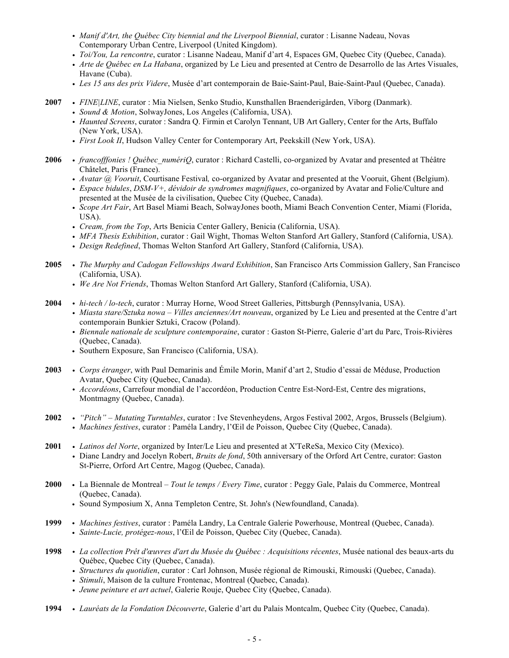- *• Manif d'Art, the Québec City biennial and the Liverpool Biennial*, curator : Lisanne Nadeau, Novas Contemporary Urban Centre, Liverpool (United Kingdom).
- *• Toi/You, La rencontre*, curator : Lisanne Nadeau, Manif d'art 4, Espaces GM, Quebec City (Quebec, Canada).
- *• Arte de Québec en La Habana*, organized by Le Lieu and presented at Centro de Desarrollo de las Artes Visuales, Havane (Cuba).
- *• Les 15 ans des prix Videre*, Musée d'art contemporain de Baie-Saint-Paul, Baie-Saint-Paul (Quebec, Canada).
- **2007** *• FINE|LINE*, curator : Mia Nielsen, Senko Studio, Kunsthallen Braenderigården, Viborg (Danmark).
	- *• Sound & Motion*, SolwayJones, Los Angeles (California, USA).
	- *• Haunted Screens*, curator : Sandra Q. Firmin et Carolyn Tennant, UB Art Gallery, Center for the Arts, Buffalo (New York, USA).
	- *• First Look II*, Hudson Valley Center for Contemporary Art, Peekskill (New York, USA).
- **2006** *• francofffonies ! Québec\_numériQ*, curator : Richard Castelli, co-organized by Avatar and presented at Théâtre Châtelet, Paris (France).
	- *• Avatar @ Vooruit*, Courtisane Festival*,* co-organized by Avatar and presented at the Vooruit, Ghent (Belgium).
	- *• Espace bidules*, *DSM-V+, dévidoir de syndromes magnifiques*, co-organized by Avatar and Folie/Culture and presented at the Musée de la civilisation, Quebec City (Quebec, Canada).
	- *• Scope Art Fair*, Art Basel Miami Beach, SolwayJones booth, Miami Beach Convention Center, Miami (Florida, USA).
	- *• Cream, from the Top*, Arts Benicia Center Gallery, Benicia (California, USA).
	- *• MFA Thesis Exhibition*, curator : Gail Wight, Thomas Welton Stanford Art Gallery, Stanford (California, USA).
	- *• Design Redefined*, Thomas Welton Stanford Art Gallery, Stanford (California, USA).
- **2005** *• The Murphy and Cadogan Fellowships Award Exhibition*, San Francisco Arts Commission Gallery, San Francisco (California, USA).
	- *• We Are Not Friends*, Thomas Welton Stanford Art Gallery, Stanford (California, USA).
- **2004** *• hi-tech / lo-tech*, curator : Murray Horne, Wood Street Galleries, Pittsburgh (Pennsylvania, USA).
	- *• Miasta stare/Sztuka nowa – Villes anciennes/Art nouveau*, organized by Le Lieu and presented at the Centre d'art contemporain Bunkier Sztuki, Cracow (Poland).
	- *• Biennale nationale de sculpture contemporaine*, curator : Gaston St-Pierre, Galerie d'art du Parc, Trois-Rivières (Quebec, Canada).
	- Southern Exposure, San Francisco (California, USA).
- **2003** *• Corps étranger*, with Paul Demarinis and Émile Morin, Manif d'art 2, Studio d'essai de Méduse, Production Avatar, Quebec City (Quebec, Canada).
	- *• Accordéons*, Carrefour mondial de l'accordéon, Production Centre Est-Nord-Est, Centre des migrations, Montmagny (Quebec, Canada).
- **2002** *• "Pitch" – Mutating Turntables*, curator : Ive Stevenheydens, Argos Festival 2002, Argos, Brussels (Belgium). *• Machines festives*, curator : Paméla Landry, l'Œil de Poisson, Quebec City (Quebec, Canada).
- **2001** *• Latinos del Norte*, organized by Inter/Le Lieu and presented at X'TeReSa, Mexico City (Mexico). *•* Diane Landry and Jocelyn Robert, *Bruits de fond*, 50th anniversary of the Orford Art Centre, curator: Gaston St-Pierre, Orford Art Centre, Magog (Quebec, Canada).
- **2000** La Biennale de Montreal *Tout le temps / Every Time*, curator : Peggy Gale, Palais du Commerce, Montreal (Quebec, Canada).
	- Sound Symposium X, Anna Templeton Centre, St. John's (Newfoundland, Canada).
- **1999** *Machines festives*, curator : Paméla Landry, La Centrale Galerie Powerhouse, Montreal (Quebec, Canada). • *Sainte-Lucie, protégez-nous*, l'Œil de Poisson, Quebec City (Quebec, Canada).
- **1998** *• La collection Prêt d'œuvres d'art du Musée du Québec : Acquisitions récentes*, Musée national des beaux-arts du Québec, Quebec City (Quebec, Canada).
	- *• Structures du quotidien*, curator : Carl Johnson, Musée régional de Rimouski, Rimouski (Quebec, Canada).
	- *• Stimuli*, Maison de la culture Frontenac, Montreal (Quebec, Canada).
	- *• Jeune peinture et art actuel*, Galerie Rouje, Quebec City (Quebec, Canada).
- **1994** *• Lauréats de la Fondation Découverte*, Galerie d'art du Palais Montcalm, Quebec City (Quebec, Canada).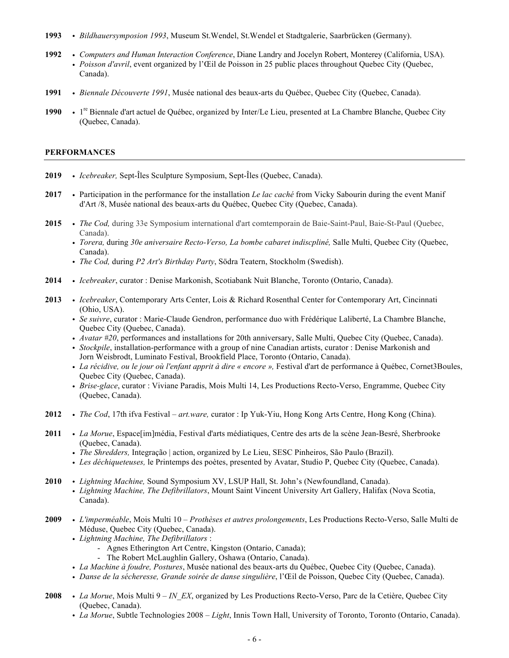- **1993** *• Bildhauersymposion 1993*, Museum St.Wendel, St.Wendel et Stadtgalerie, Saarbrücken (Germany).
- **1992** *• Computers and Human Interaction Conference*, Diane Landry and Jocelyn Robert, Monterey (California, USA). *• Poisson d'avril*, event organized by l'Œil de Poisson in 25 public places throughout Quebec City (Quebec, Canada).
- **1991** *• Biennale Découverte 1991*, Musée national des beaux-arts du Québec, Quebec City (Quebec, Canada).
- 1990 1<sup>re</sup> Biennale d'art actuel de Québec, organized by Inter/Le Lieu, presented at La Chambre Blanche, Quebec City (Quebec, Canada).

#### **PERFORMANCES**

- **2019** *• Icebreaker,* Sept-Îles Sculpture Symposium, Sept-Îles (Quebec, Canada).
- **2017** *•* Participation in the performance for the installation *Le lac caché* from Vicky Sabourin during the event Manif d'Art /8, Musée national des beaux-arts du Québec, Quebec City (Quebec, Canada).
- **2015** *• The Cod,* during 33e Symposium international d'art comtemporain de Baie-Saint-Paul, Baie-St-Paul (Quebec, Canada).
	- *• Torera,* during *30e aniversaire Recto-Verso, La bombe cabaret indiscpliné,* Salle Multi, Quebec City (Quebec, Canada).
	- *• The Cod,* during *P2 Art's Birthday Party*, Södra Teatern, Stockholm (Swedish).
- **2014** *• Icebreaker*, curator : Denise Markonish, Scotiabank Nuit Blanche, Toronto (Ontario, Canada).
- **2013** *• Icebreaker*, Contemporary Arts Center, Lois & Richard Rosenthal Center for Contemporary Art, Cincinnati (Ohio, USA).
	- *• Se suivre*, curator : Marie-Claude Gendron, performance duo with Frédérique Laliberté, La Chambre Blanche, Quebec City (Quebec, Canada).
	- *• Avatar #20*, performances and installations for 20th anniversary, Salle Multi, Quebec City (Quebec, Canada).
	- *• Stockpile*, installation-performance with a group of nine Canadian artists, curator : Denise Markonish and Jorn Weisbrodt, Luminato Festival, Brookfield Place, Toronto (Ontario, Canada).
	- *• La récidive, ou le jour où l'enfant apprit à dire « encore »,* Festival d'art de performance à Québec, Cornet3Boules, Quebec City (Quebec, Canada).
	- *• Brise-glace*, curator : Viviane Paradis, Mois Multi 14, Les Productions Recto-Verso, Engramme, Quebec City (Quebec, Canada).
- **2012** *• The Cod*, 17th ifva Festival *– art.ware,* curator : Ip Yuk-Yiu, Hong Kong Arts Centre, Hong Kong (China).
- **2011** *• La Morue*, Espace[im]média, Festival d'arts médiatiques, Centre des arts de la scène Jean-Besré, Sherbrooke (Quebec, Canada).
	- *• The Shredders,* Integração | action, organized by Le Lieu, SESC Pinheiros, São Paulo (Brazil).
	- *• Les déchiqueteuses,* le Printemps des poètes, presented by Avatar, Studio P, Quebec City (Quebec, Canada).
- **2010** *• Lightning Machine,* Sound Symposium XV, LSUP Hall, St. John's (Newfoundland, Canada). *• Lightning Machine, The Defibrillators*, Mount Saint Vincent University Art Gallery, Halifax (Nova Scotia, Canada).
- **2009** *• L'imperméable*, Mois Multi 10 *Prothèses et autres prolongements*, Les Productions Recto-Verso, Salle Multi de Méduse, Quebec City (Quebec, Canada).
	- *• Lightning Machine, The Defibrillators* :
		- Agnes Etherington Art Centre, Kingston (Ontario, Canada);
		- The Robert McLaughlin Gallery, Oshawa (Ontario, Canada).
	- *• La Machine à foudre, Postures*, Musée national des beaux-arts du Québec, Quebec City (Quebec, Canada).
	- *• Danse de la sécheresse, Grande soirée de danse singulière*, l'Œil de Poisson, Quebec City (Quebec, Canada).
- **2008** *• La Morue*, Mois Multi 9 *IN\_EX*, organized by Les Productions Recto-Verso, Parc de la Cetière, Quebec City (Quebec, Canada).
	- *• La Morue*, Subtle Technologies 2008 *Light*, Innis Town Hall, University of Toronto, Toronto (Ontario, Canada).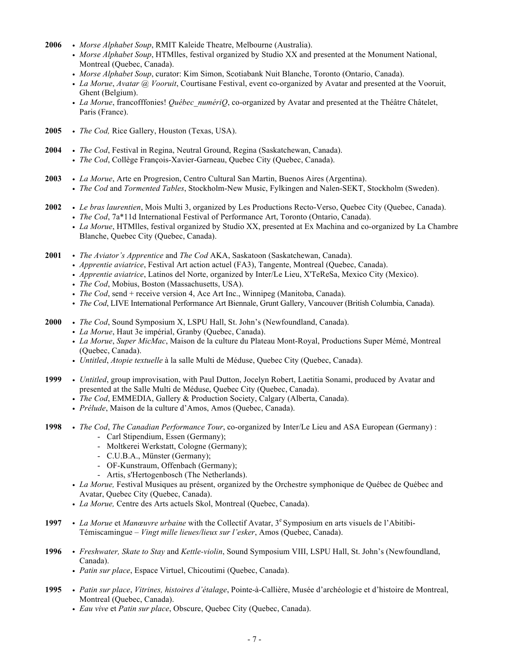- **2006** *• Morse Alphabet Soup*, RMIT Kaleide Theatre, Melbourne (Australia).
	- *• Morse Alphabet Soup*, HTMlles, festival organized by Studio XX and presented at the Monument National, Montreal (Quebec, Canada).
	- *• Morse Alphabet Soup*, curator: Kim Simon, Scotiabank Nuit Blanche, Toronto (Ontario, Canada).
	- *• La Morue*, *Avatar @ Vooruit*, Courtisane Festival, event co-organized by Avatar and presented at the Vooruit, Ghent (Belgium).
	- *• La Morue*, francofffonies! *Québec\_numériQ*, co-organized by Avatar and presented at the Théâtre Châtelet, Paris (France).
- **2005** *• The Cod,* Rice Gallery, Houston (Texas, USA).
- **2004** *• The Cod*, Festival in Regina, Neutral Ground, Regina (Saskatchewan, Canada).
	- *• The Cod*, Collège François-Xavier-Garneau, Quebec City (Quebec, Canada).
- **2003** *• La Morue*, Arte en Progresion, Centro Cultural San Martin, Buenos Aires (Argentina). *• The Cod* and *Tormented Tables*, Stockholm-New Music, Fylkingen and Nalen-SEKT, Stockholm (Sweden).
- **2002** *• Le bras laurentien*, Mois Multi 3, organized by Les Productions Recto-Verso, Quebec City (Quebec, Canada). *• The Cod*, 7a\*11d International Festival of Performance Art, Toronto (Ontario, Canada).
	- *• La Morue*, HTMlles, festival organized by Studio XX, presented at Ex Machina and co-organized by La Chambre Blanche, Quebec City (Quebec, Canada).
- **2001** *• The Aviator's Apprentice* and *The Cod* AKA, Saskatoon (Saskatchewan, Canada).
	- *• Apprentie aviatrice*, Festival Art action actuel (FA3), Tangente, Montreal (Quebec, Canada).
	- *• Apprentie aviatrice*, Latinos del Norte, organized by Inter/Le Lieu, X'TeReSa, Mexico City (Mexico).
	- *• The Cod*, Mobius, Boston (Massachusetts, USA).
	- *• The Cod*, send + receive version 4, Ace Art Inc., Winnipeg (Manitoba, Canada).
	- *• The Cod*, LIVE International Performance Art Biennale, Grunt Gallery, Vancouver (British Columbia, Canada).
- **2000** *• The Cod*, Sound Symposium X, LSPU Hall, St. John's (Newfoundland, Canada).
	- *• La Morue*, Haut 3e impérial, Granby (Quebec, Canada).
	- *• La Morue*, *Super MicMac*, Maison de la culture du Plateau Mont-Royal, Productions Super Mémé, Montreal (Quebec, Canada).
	- *• Untitled*, *Atopie textuelle* à la salle Multi de Méduse, Quebec City (Quebec, Canada).
- **1999** *• Untitled*, group improvisation, with Paul Dutton, Jocelyn Robert, Laetitia Sonami, produced by Avatar and presented at the Salle Multi de Méduse, Quebec City (Quebec, Canada).
	- *• The Cod*, EMMEDIA, Gallery & Production Society, Calgary (Alberta, Canada).
	- *• Prélude*, Maison de la culture d'Amos, Amos (Quebec, Canada).
- **1998** *• The Cod*, *The Canadian Performance Tour*, co-organized by Inter/Le Lieu and ASA European (Germany) : - Carl Stipendium, Essen (Germany);
	- Moltkerei Werkstatt, Cologne (Germany);
	- C.U.B.A., Münster (Germany);
	- OF-Kunstraum, Offenbach (Germany);
	- Artis, s'Hertogenbosch (The Netherlands).
	- *• La Morue,* Festival Musiques au présent, organized by the Orchestre symphonique de Québec de Québec and Avatar, Quebec City (Quebec, Canada).
	- *• La Morue,* Centre des Arts actuels Skol, Montreal (Quebec, Canada).
- 1997  *La Morue* et *Manœuvre urbaine* with the Collectif Avatar, 3<sup>e</sup> Symposium en arts visuels de l'Abitibi-Témiscamingue – *Vingt mille lieues/lieux sur l'esker*, Amos (Quebec, Canada).
- **1996** *• Freshwater, Skate to Stay* and *Kettle-violin*, Sound Symposium VIII, LSPU Hall, St. John's (Newfoundland, Canada).
	- *• Patin sur place*, Espace Virtuel, Chicoutimi (Quebec, Canada).
- **1995** *• Patin sur place*, *Vitrines, histoires d'étalage*, Pointe-à-Callière, Musée d'archéologie et d'histoire de Montreal, Montreal (Quebec, Canada).
	- *• Eau vive* et *Patin sur place*, Obscure, Quebec City (Quebec, Canada).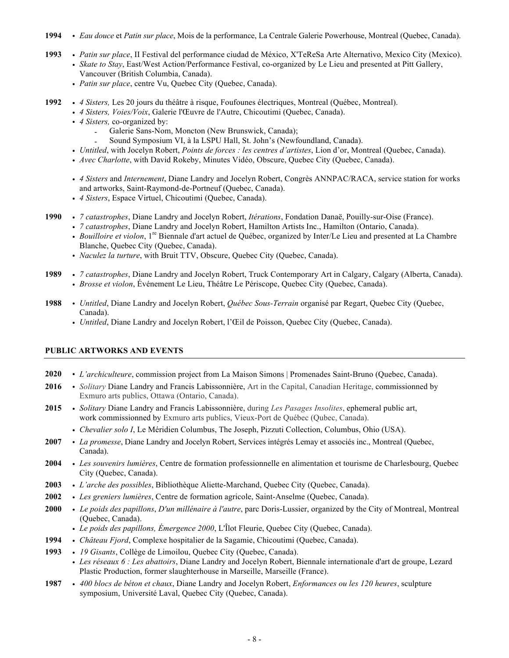- **1994** *• Eau douce* et *Patin sur place*, Mois de la performance, La Centrale Galerie Powerhouse, Montreal (Quebec, Canada).
- **1993** *• Patin sur place*, II Festival del performance ciudad de México, X'TeReSa Arte Alternativo, Mexico City (Mexico). *• Skate to Stay*, East/West Action/Performance Festival, co-organized by Le Lieu and presented at Pitt Gallery, Vancouver (British Columbia, Canada).
	- *• Patin sur place*, centre Vu, Quebec City (Quebec, Canada).
- **1992** *• 4 Sisters,* Les 20 jours du théâtre à risque, Foufounes électriques, Montreal (Québec, Montreal).
	- *• 4 Sisters, Voies/Voix*, Galerie l'Œuvre de l'Autre, Chicoutimi (Quebec, Canada).
	- *• 4 Sisters,* co-organized by:
		- Galerie Sans-Nom, Moncton (New Brunswick, Canada);
		- Sound Symposium VI, à la LSPU Hall, St. John's (Newfoundland, Canada).
	- *• Untitled*, with Jocelyn Robert, *Points de forces : les centres d'artistes*, Lion d'or, Montreal (Quebec, Canada).
	- *• Avec Charlotte*, with David Rokeby, Minutes Vidéo, Obscure, Quebec City (Quebec, Canada).
	- *• 4 Sisters* and *Internement*, Diane Landry and Jocelyn Robert, Congrès ANNPAC/RACA, service station for works and artworks, Saint-Raymond-de-Portneuf (Quebec, Canada).
	- *• 4 Sisters*, Espace Virtuel, Chicoutimi (Quebec, Canada).
- **1990** *• 7 catastrophes*, Diane Landry and Jocelyn Robert, *Itérations*, Fondation Danaë, Pouilly-sur-Oise (France).
	- *• 7 catastrophes*, Diane Landry and Jocelyn Robert, Hamilton Artists Inc., Hamilton (Ontario, Canada).
	- *• Bouilloire et violon*, 1re Biennale d'art actuel de Québec, organized by Inter/Le Lieu and presented at La Chambre Blanche, Quebec City (Quebec, Canada).
	- *• Naculez la turture*, with Bruit TTV, Obscure, Quebec City (Quebec, Canada).
- **1989** *• 7 catastrophes*, Diane Landry and Jocelyn Robert, Truck Contemporary Art in Calgary, Calgary (Alberta, Canada). *• Brosse et violon*, Événement Le Lieu, Théâtre Le Périscope, Quebec City (Quebec, Canada).
- **1988** *• Untitled*, Diane Landry and Jocelyn Robert, *Québec Sous-Terrain* organisé par Regart, Quebec City (Quebec, Canada).
	- *• Untitled*, Diane Landry and Jocelyn Robert, l'Œil de Poisson, Quebec City (Quebec, Canada).

### **PUBLIC ARTWORKS AND EVENTS**

- **2020** *• L'archiculteure*, commission project from La Maison Simons | Promenades Saint-Bruno (Quebec, Canada).
- **2016** *• Solitary* Diane Landry and Francis Labissonnière, Art in the Capital, Canadian Heritage, commissionned by Exmuro arts publics, Ottawa (Ontario, Canada).
- **2015** *• Solitary* Diane Landry and Francis Labissonnière, during *Les Pasages Insolites*, ephemeral public art, work commissionned by Exmuro arts publics, Vieux-Port de Québec (Qubec, Canada).
	- *• Chevalier solo I*, Le Méridien Columbus, The Joseph, Pizzuti Collection, Columbus, Ohio (USA).
- **2007** *• La promesse*, Diane Landry and Jocelyn Robert, Services intégrés Lemay et associés inc., Montreal (Quebec, Canada).
- **2004** *• Les souvenirs lumières*, Centre de formation professionnelle en alimentation et tourisme de Charlesbourg, Quebec City (Quebec, Canada).
- **2003** *• L'arche des possibles*, Bibliothèque Aliette-Marchand, Quebec City (Quebec, Canada).
- **2002** *• Les greniers lumières*, Centre de formation agricole, Saint-Anselme (Quebec, Canada).
- **2000** *• Le poids des papillons*, *D'un millénaire à l'autre*, parc Doris-Lussier, organized by the City of Montreal, Montreal (Quebec, Canada).
	- *• Le poids des papillons, Émergence 2000*, L'Îlot Fleurie, Quebec City (Quebec, Canada).
- **1994** *• Château Fjord*, Complexe hospitalier de la Sagamie, Chicoutimi (Quebec, Canada).
- **1993** *• 19 Gisants*, Collège de Limoilou, Quebec City (Quebec, Canada).
	- *• Les réseaux 6 : Les abattoirs*, Diane Landry and Jocelyn Robert, Biennale internationale d'art de groupe, Lezard Plastic Production, former slaughterhouse in Marseille, Marseille (France).
- **1987** *• 400 blocs de béton et chaux*, Diane Landry and Jocelyn Robert, *Enformances ou les 120 heures*, sculpture symposium, Université Laval, Quebec City (Quebec, Canada).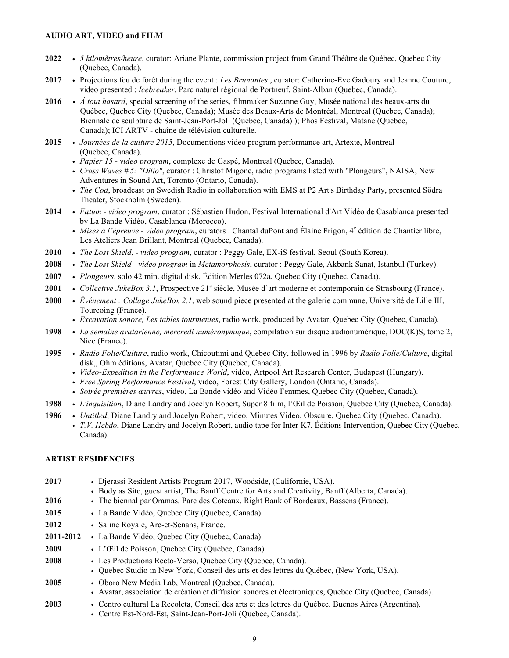- **2022** *• 5 kilomètres/heure*, curator: Ariane Plante, commission project from Grand Théâtre de Québec, Quebec City (Quebec, Canada).
- **2017** *•* Projections feu de forêt during the event : *Les Brunantes* , curator: Catherine-Eve Gadoury and Jeanne Couture, video presented : *Icebreaker*, Parc naturel régional de Portneuf, Saint-Alban (Quebec, Canada).
- **2016** *• À tout hasard*, special screening of the series, filmmaker Suzanne Guy, Musée national des beaux-arts du Québec, Quebec City (Quebec, Canada); Musée des Beaux-Arts de Montréal, Montreal (Quebec, Canada); Biennale de sculpture de Saint-Jean-Port-Joli (Quebec, Canada) ); Phos Festival, Matane (Quebec, Canada); ICI ARTV - chaîne de télévision culturelle.
- **2015** *• Journées de la culture 2015*, Documentions video program performance art, Artexte, Montreal (Quebec, Canada).
	- *• Papier 15 - video program*, complexe de Gaspé, Montreal (Quebec, Canada).
	- *• Cross Waves # 5: "Ditto"*, curator : Christof Migone, radio programs listed with "Plongeurs", NAISA, New Adventures in Sound Art, Toronto (Ontario, Canada).
	- *• The Cod*, broadcast on Swedish Radio in collaboration with EMS at P2 Art's Birthday Party, presented Södra Theater, Stockholm (Sweden).
- **2014** *• Fatum - video program*, curator : Sébastien Hudon, Festival International d'Art Vidéo de Casablanca presented by La Bande Vidéo, Casablanca (Morocco).
	- *Mises à l'épreuve video program*, curators : Chantal duPont and Élaine Frigon, <sup>4e</sup> édition de Chantier libre, Les Ateliers Jean Brillant, Montreal (Quebec, Canada).
- **2010** *• The Lost Shield*, *- video program*, curator : Peggy Gale, EX-iS festival, Seoul (South Korea).
- **2008** *• The Lost Shield - video program* in *Metamorphosis*, curator : Peggy Gale, Akbank Sanat, Istanbul (Turkey).
- **2007** *• Plongeurs*, solo 42 min. digital disk, Édition Merles 072a, Quebec City (Quebec, Canada).
- 2001 Collective JukeBox 3.1, Prospective 21<sup>e</sup> siècle, Musée d'art moderne et contemporain de Strasbourg (France).
- **2000** *• Événement : Collage JukeBox 2.1*, web sound piece presented at the galerie commune, Université de Lille III, Tourcoing (France).
	- *• Excavation sonore, Les tables tourmentes*, radio work, produced by Avatar, Quebec City (Quebec, Canada).
- **1998** *• La semaine avatarienne, mercredi numéronymique*, compilation sur disque audionumérique, DOC(K)S, tome 2, Nice (France).
- **1995** *• Radio Folie/Culture*, radio work, Chicoutimi and Quebec City, followed in 1996 by *Radio Folie/Culture*, digital disk,, Ohm éditions, Avatar, Quebec City (Quebec, Canada).
	- *• Video-Expedition in the Performance World*, vidéo, Artpool Art Research Center, Budapest (Hungary).
	- *• Free Spring Performance Festival*, video, Forest City Gallery, London (Ontario, Canada).
	- *• Soirée premières œuvres*, video, La Bande vidéo and Vidéo Femmes, Quebec City (Quebec, Canada).
- **1988** *• L'inquisition*, Diane Landry and Jocelyn Robert, Super 8 film, l'Œil de Poisson, Quebec City (Quebec, Canada).
- **1986** *• Untitled*, Diane Landry and Jocelyn Robert, video, Minutes Video, Obscure, Quebec City (Quebec, Canada).
	- *• T.V. Hebdo*, Diane Landry and Jocelyn Robert, audio tape for Inter-K7, Éditions Intervention, Quebec City (Quebec, Canada).

#### **ARTIST RESIDENCIES**

| 2017<br>2016 | • Dierassi Resident Artists Program 2017, Woodside, (Californie, USA).<br>• Body as Site, guest artist, The Banff Centre for Arts and Creativity, Banff (Alberta, Canada). |
|--------------|----------------------------------------------------------------------------------------------------------------------------------------------------------------------------|
|              | • The biennal panOramas, Parc des Coteaux, Right Bank of Bordeaux, Bassens (France).                                                                                       |
| 2015         | • La Bande Vidéo, Quebec City (Quebec, Canada).                                                                                                                            |
| 2012         | • Saline Royale, Arc-et-Senans, France.                                                                                                                                    |
| 2011-2012    | • La Bande Vidéo, Quebec City (Quebec, Canada).                                                                                                                            |
| 2009         | • L'Œil de Poisson, Quebec City (Quebec, Canada).                                                                                                                          |
| 2008         | • Les Productions Recto-Verso, Quebec City (Quebec, Canada).<br>• Ouebec Studio in New York, Conseil des arts et des lettres du Ouébec, (New York, USA).                   |
| 2005         | • Oboro New Media Lab, Montreal (Quebec, Canada).<br>• Avatar, association de création et diffusion sonores et électroniques, Quebec City (Quebec, Canada).                |
| 2003         | • Centro cultural La Recoleta, Conseil des arts et des lettres du Ouébec, Buenos Aires (Argentina).<br>• Centre Est-Nord-Est, Saint-Jean-Port-Joli (Ouebec, Canada).       |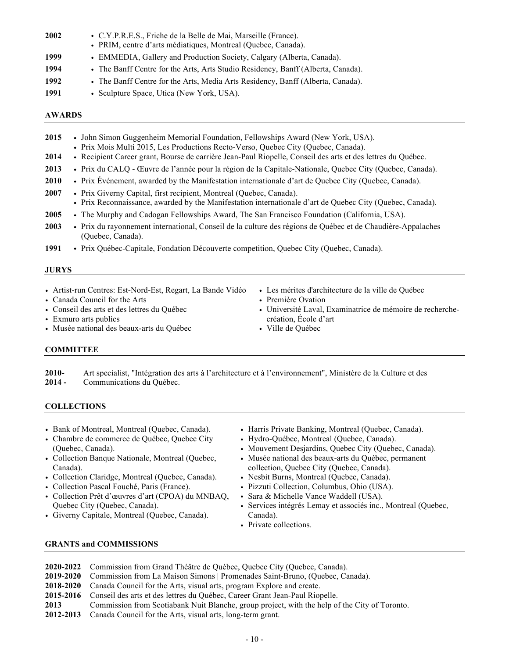| 2002 | • C.Y.P.R.E.S., Friche de la Belle de Mai, Marseille (France).<br>• PRIM, centre d'arts médiatiques, Montreal (Quebec, Canada). |
|------|---------------------------------------------------------------------------------------------------------------------------------|
| 1999 | • EMMEDIA, Gallery and Production Society, Calgary (Alberta, Canada).                                                           |
| 1994 | • The Banff Centre for the Arts, Arts Studio Residency, Banff (Alberta, Canada).                                                |
| 1992 | • The Banff Centre for the Arts, Media Arts Residency, Banff (Alberta, Canada).                                                 |
| 1991 | • Sculpture Space, Utica (New York, USA).                                                                                       |

### **AWARDS**

| 2015        | • John Simon Guggenheim Memorial Foundation, Fellowships Award (New York, USA).                                                                                                  |
|-------------|----------------------------------------------------------------------------------------------------------------------------------------------------------------------------------|
|             | • Prix Mois Multi 2015, Les Productions Recto-Verso, Quebec City (Quebec, Canada).                                                                                               |
| 2014        | • Recipient Career grant, Bourse de carrière Jean-Paul Riopelle, Conseil des arts et des lettres du Québec.                                                                      |
| 2013        | · Prix du CALQ - Œuvre de l'année pour la région de la Capitale-Nationale, Quebec City (Quebec, Canada).                                                                         |
| <b>2010</b> | • Prix Événement, awarded by the Manifestation internationale d'art de Quebec City (Quebec, Canada).                                                                             |
| 2007        | • Prix Giverny Capital, first recipient, Montreal (Quebec, Canada).<br>• Prix Reconnaissance, awarded by the Manifestation internationale d'art de Quebec City (Quebec, Canada). |
| 2005        | • The Murphy and Cadogan Fellowships Award, The San Francisco Foundation (California, USA).                                                                                      |

**2003** *•* Prix du rayonnement international, Conseil de la culture des régions de Québec et de Chaudière-Appalaches (Quebec, Canada).

**1991** *•* Prix Québec-Capitale, Fondation Découverte competition, Quebec City (Quebec, Canada).

### **JURYS**

- *•* Artist-run Centres: Est-Nord-Est, Regart, La Bande Vidéo
- *•* Canada Council for the Arts
- *•* Conseil des arts et des lettres du Québec
- *•* Exmuro arts publics
- *•* Musée national des beaux-arts du Québec
- *•* Les mérites d'architecture de la ville de Québec
- *•* Première Ovation
- *•* Université Laval, Examinatrice de mémoire de recherchecréation, École d'art
- *•* Ville de Québec

## **COMMITTEE**

**2010- 2014 -** Art specialist, "Intégration des arts à l'architecture et à l'environnement", Ministère de la Culture et des Communications du Québec.

## **COLLECTIONS**

- *•* Bank of Montreal, Montreal (Quebec, Canada).
- *•* Chambre de commerce de Québec, Quebec City (Quebec, Canada).
- Collection Banque Nationale, Montreal (Quebec, Canada).
- *•* Collection Claridge, Montreal (Quebec, Canada).
- *•* Collection Pascal Fouché, Paris (France).
- *•* Collection Prêt d'œuvres d'art (CPOA) du MNBAQ, Quebec City (Quebec, Canada).
- *•* Giverny Capitale, Montreal (Quebec, Canada).
- *•* Harris Private Banking, Montreal (Quebec, Canada).
- *•* Hydro-Québec, Montreal (Quebec, Canada).
- *•* Mouvement Desjardins, Quebec City (Quebec, Canada).
- *•* Musée national des beaux-arts du Québec, permanent collection, Quebec City (Quebec, Canada).
- *•* Nesbit Burns, Montreal (Quebec, Canada).
- *•* Pizzuti Collection, Columbus, Ohio (USA).
- *•* Sara & Michelle Vance Waddell (USA).
- *•* Services intégrés Lemay et associés inc., Montreal (Quebec, Canada).
- Private collections.

### **GRANTS and COMMISSIONS**

- **2020-2022** Commission from Grand Théâtre de Québec, Quebec City (Quebec, Canada).
- **2019-2020** Commission from La Maison Simons | Promenades Saint-Bruno, (Quebec, Canada).
- **2018-2020** Canada Council for the Arts, visual arts, program Explore and create.
- **2015-2016** Conseil des arts et des lettres du Québec, Career Grant Jean-Paul Riopelle.
- **2013** Commission from Scotiabank Nuit Blanche, group project, with the help of the City of Toronto.
- **2012-2013** Canada Council for the Arts, visual arts, long-term grant.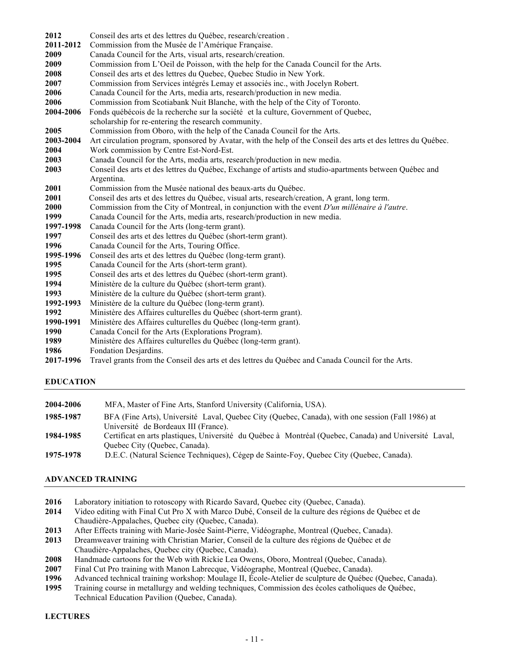| 2012      | Conseil des arts et des lettres du Québec, research/creation.                                                 |
|-----------|---------------------------------------------------------------------------------------------------------------|
| 2011-2012 | Commission from the Musée de l'Amérique Française.                                                            |
| 2009      | Canada Council for the Arts, visual arts, research/creation.                                                  |
| 2009      | Commission from L'Oeil de Poisson, with the help for the Canada Council for the Arts.                         |
| 2008      | Conseil des arts et des lettres du Quebec, Quebec Studio in New York.                                         |
| 2007      |                                                                                                               |
|           | Commission from Services intégrés Lemay et associés inc., with Jocelyn Robert.                                |
| 2006      | Canada Council for the Arts, media arts, research/production in new media.                                    |
| 2006      | Commission from Scotiabank Nuit Blanche, with the help of the City of Toronto.                                |
| 2004-2006 | Fonds québécois de la recherche sur la société et la culture, Government of Quebec,                           |
|           | scholarship for re-entering the research community.                                                           |
| 2005      | Commission from Oboro, with the help of the Canada Council for the Arts.                                      |
| 2003-2004 | Art circulation program, sponsored by Avatar, with the help of the Conseil des arts et des lettres du Québec. |
| 2004      | Work commission by Centre Est-Nord-Est.                                                                       |
| 2003      | Canada Council for the Arts, media arts, research/production in new media.                                    |
| 2003      | Conseil des arts et des lettres du Québec, Exchange of artists and studio-apartments between Québec and       |
|           | Argentina.                                                                                                    |
| 2001      | Commission from the Musée national des beaux-arts du Québec.                                                  |
| 2001      | Conseil des arts et des lettres du Québec, visual arts, research/creation, A grant, long term.                |
| 2000      | Commission from the City of Montreal, in conjunction with the event D'un millénaire à l'autre.                |
| 1999      | Canada Council for the Arts, media arts, research/production in new media.                                    |
| 1997-1998 | Canada Council for the Arts (long-term grant).                                                                |
| 1997      | Conseil des arts et des lettres du Québec (short-term grant).                                                 |
| 1996      | Canada Council for the Arts, Touring Office.                                                                  |
| 1995-1996 | Conseil des arts et des lettres du Québec (long-term grant).                                                  |
| 1995      | Canada Council for the Arts (short-term grant).                                                               |
| 1995      | Conseil des arts et des lettres du Québec (short-term grant).                                                 |
| 1994      | Ministère de la culture du Québec (short-term grant).                                                         |
| 1993      | Ministère de la culture du Québec (short-term grant).                                                         |
| 1992-1993 | Ministère de la culture du Québec (long-term grant).                                                          |
| 1992      | Ministère des Affaires culturelles du Québec (short-term grant).                                              |
| 1990-1991 | Ministère des Affaires culturelles du Québec (long-term grant).                                               |
| 1990      | Canada Concil for the Arts (Explorations Program).                                                            |
| 1989      | Ministère des Affaires culturelles du Québec (long-term grant).                                               |
| 1986      | Fondation Desjardins.                                                                                         |

**2017-1996** Travel grants from the Conseil des arts et des lettres du Québec and Canada Council for the Arts.

# **EDUCATION**

| MFA, Master of Fine Arts, Stanford University (California, USA).                                      |
|-------------------------------------------------------------------------------------------------------|
| BFA (Fine Arts), Université Laval, Quebec City (Quebec, Canada), with one session (Fall 1986) at      |
| Université de Bordeaux III (France).                                                                  |
| Certificat en arts plastiques, Université du Québec à Montréal (Quebec, Canada) and Université Laval, |
| Quebec City (Quebec, Canada).                                                                         |
| D.E.C. (Natural Science Techniques), Cégep de Sainte-Foy, Quebec City (Quebec, Canada).               |
|                                                                                                       |

# **ADVANCED TRAINING**

- Laboratory initiation to rotoscopy with Ricardo Savard, Quebec city (Quebec, Canada).
- Video editing with Final Cut Pro X with Marco Dubé, Conseil de la culture des régions de Québec et de Chaudière-Appalaches, Quebec city (Quebec, Canada).
- After Effects training with Marie-Josée Saint-Pierre, Vidéographe, Montreal (Quebec, Canada).
- Dreamweaver training with Christian Marier, Conseil de la culture des régions de Québec et de Chaudière-Appalaches, Quebec city (Quebec, Canada).
- Handmade cartoons for the Web with Rickie Lea Owens, Oboro, Montreal (Quebec, Canada).
- Final Cut Pro training with Manon Labrecque, Vidéographe, Montreal (Quebec, Canada).
- Advanced technical training workshop: Moulage II, École-Atelier de sculpture de Québec (Quebec, Canada).
- Training course in metallurgy and welding techniques, Commission des écoles catholiques de Québec, Technical Education Pavilion (Quebec, Canada).

## **LECTURES**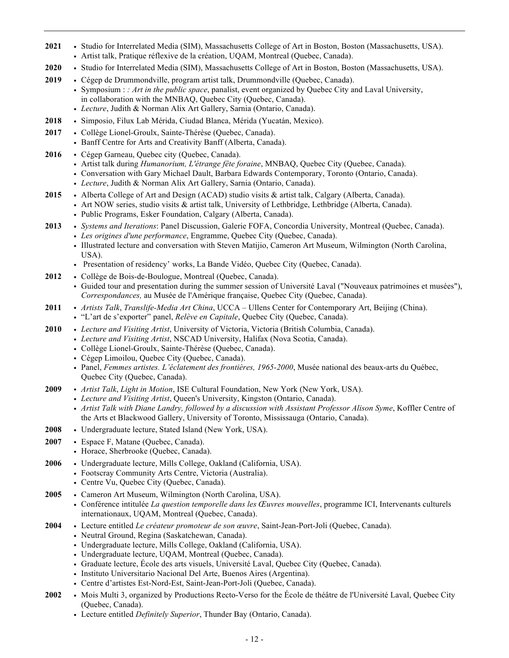- **2021** *•* Studio for Interrelated Media (SIM), Massachusetts College of Art in Boston, Boston (Massachusetts, USA).
	- *•* Artist talk, Pratique réflexive de la création, UQAM, Montreal (Quebec, Canada).
- **2020** *•* Studio for Interrelated Media (SIM), Massachusetts College of Art in Boston, Boston (Massachusetts, USA).
- **2019** *•* Cégep de Drummondville, program artist talk, Drummondville (Quebec, Canada).
	- *•* Symposium : *: Art in the public space*, panalist, event organized by Quebec City and Laval University, in collaboration with the MNBAQ, Quebec City (Quebec, Canada).
		- *• Lecture*, Judith & Norman Alix Art Gallery, Sarnia (Ontario, Canada).
- **2018** *•* Simposio, Filux Lab Mérida, Ciudad Blanca, Mérida (Yucatán, Mexico).
- **2017** *•* Collège Lionel-Groulx, Sainte-Thérèse (Quebec, Canada).
	- *•* Banff Centre for Arts and Creativity Banff (Alberta, Canada).
- **2016** *•* Cégep Garneau, Quebec city (Quebec, Canada).
	- *•* Artist talk during *Humanorium, L'étrange fête foraine*, MNBAQ, Quebec City (Quebec, Canada).
	- *•* Conversation with Gary Michael Dault, Barbara Edwards Contemporary, Toronto (Ontario, Canada).
	- *• Lecture*, Judith & Norman Alix Art Gallery, Sarnia (Ontario, Canada).
- **2015** *•* Alberta College of Art and Design (ACAD) studio visits & artist talk, Calgary (Alberta, Canada).
	- Art NOW series, studio visits & artist talk, University of Lethbridge, Lethbridge (Alberta, Canada).
		- *•* Public Programs, Esker Foundation, Calgary (Alberta, Canada).
- **2013** *• Systems and Iterations*: Panel Discussion, Galerie FOFA, Concordia University, Montreal (Quebec, Canada).
	- *• Les origines d'une performance*, Engramme, Quebec City (Quebec, Canada).
	- *•* Illustrated lecture and conversation with Steven Matijio, Cameron Art Museum, Wilmington (North Carolina, USA).
	- *•* Presentation of residency' works, La Bande Vidéo, Quebec City (Quebec, Canada).
- **2012** *•* Collège de Bois-de-Boulogue, Montreal (Quebec, Canada).
	- *•* Guided tour and presentation during the summer session of Université Laval ("Nouveaux patrimoines et musées"), *Correspondances,* au Musée de l'Amérique française, Quebec City (Quebec, Canada).
- **2011** *• Artists Talk*, *Translife-Media Art China*, UCCA Ullens Center for Contemporary Art, Beijing (China).
	- *•* "L'art de s'exporter" panel, *Relève en Capitale*, Quebec City (Quebec, Canada).
- **2010** *• Lecture and Visiting Artist*, University of Victoria, Victoria (British Columbia, Canada).
	- *• Lecture and Visiting Artist*, NSCAD University, Halifax (Nova Scotia, Canada).
		- *•* Collège Lionel-Groulx, Sainte-Thérèse (Quebec, Canada).
		- *•* Cégep Limoilou, Quebec City (Quebec, Canada).
		- *•* Panel, *Femmes artistes. L'éclatement des frontières, 1965-2000*, Musée national des beaux-arts du Québec, Quebec City (Quebec, Canada).
- **2009** *• Artist Talk*, *Light in Motion*, ISE Cultural Foundation, New York (New York, USA).
	- *• Lecture and Visiting Artist*, Queen's University, Kingston (Ontario, Canada).
	- *• Artist Talk with Diane Landry, followed by a discussion with Assistant Professor Alison Syme*, Koffler Centre of the Arts et Blackwood Gallery, University of Toronto, Mississauga (Ontario, Canada).
- **2008** *•* Undergraduate lecture, Stated Island (New York, USA).
- **2007** *•* Espace F, Matane (Quebec, Canada).
- *•* Horace, Sherbrooke (Quebec, Canada).
- **2006** *•* Undergraduate lecture, Mills College, Oakland (California, USA).
	- *•* Footscray Community Arts Centre, Victoria (Australia).
	- *•* Centre Vu, Quebec City (Quebec, Canada).
- **2005** *•* Cameron Art Museum, Wilmington (North Carolina, USA).
	- *•* Conférence intitulée *La question temporelle dans les Œuvres mouvelles*, programme ICI, Intervenants culturels internationaux, UQAM, Montreal (Quebec, Canada).
- **2004** *•* Lecture entitled *Le créateur promoteur de son œuvre*, Saint-Jean-Port-Joli (Quebec, Canada).
	- *•* Neutral Ground, Regina (Saskatchewan, Canada).
	- *•* Undergraduate lecture, Mills College, Oakland (California, USA).
	- *•* Undergraduate lecture, UQAM, Montreal (Quebec, Canada).
	- *•* Graduate lecture, École des arts visuels, Université Laval, Quebec City (Quebec, Canada).
	- *•* Instituto Universitario Nacional Del Arte, Buenos Aires (Argentina).
	- *•* Centre d'artistes Est-Nord-Est, Saint-Jean-Port-Joli (Quebec, Canada).
- **2002** *•* Mois Multi 3, organized by Productions Recto-Verso for the École de théâtre de l'Université Laval, Quebec City (Quebec, Canada).
	- *•* Lecture entitled *Definitely Superior*, Thunder Bay (Ontario, Canada).